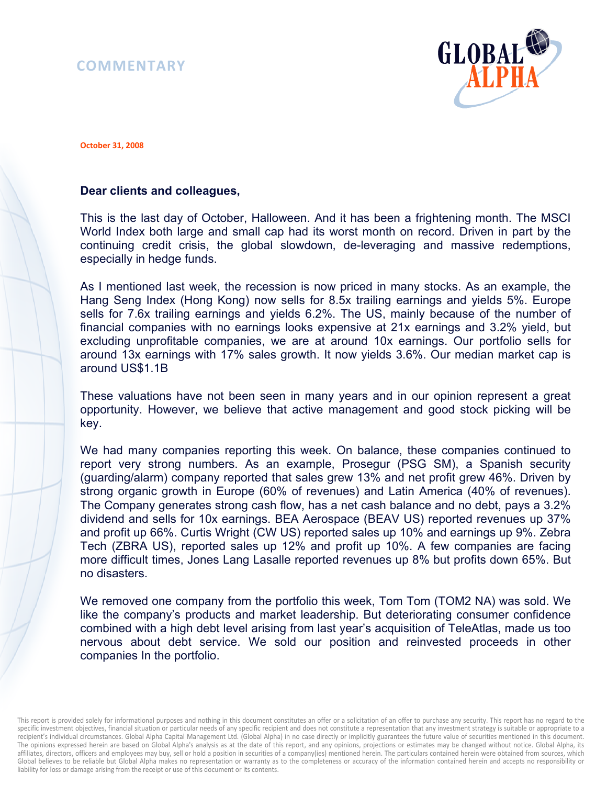## **COMMENTARY**



**October 31, 2008** 

## **Dear clients and colleagues,**

This is the last day of October, Halloween. And it has been a frightening month. The MSCI World Index both large and small cap had its worst month on record. Driven in part by the continuing credit crisis, the global slowdown, de-leveraging and massive redemptions, especially in hedge funds.

As I mentioned last week, the recession is now priced in many stocks. As an example, the Hang Seng Index (Hong Kong) now sells for 8.5x trailing earnings and yields 5%. Europe sells for 7.6x trailing earnings and yields 6.2%. The US, mainly because of the number of financial companies with no earnings looks expensive at 21x earnings and 3.2% yield, but excluding unprofitable companies, we are at around 10x earnings. Our portfolio sells for around 13x earnings with 17% sales growth. It now yields 3.6%. Our median market cap is around US\$1.1B

These valuations have not been seen in many years and in our opinion represent a great opportunity. However, we believe that active management and good stock picking will be key.

We had many companies reporting this week. On balance, these companies continued to report very strong numbers. As an example, Prosegur (PSG SM), a Spanish security (guarding/alarm) company reported that sales grew 13% and net profit grew 46%. Driven by strong organic growth in Europe (60% of revenues) and Latin America (40% of revenues). The Company generates strong cash flow, has a net cash balance and no debt, pays a 3.2% dividend and sells for 10x earnings. BEA Aerospace (BEAV US) reported revenues up 37% and profit up 66%. Curtis Wright (CW US) reported sales up 10% and earnings up 9%. Zebra Tech (ZBRA US), reported sales up 12% and profit up 10%. A few companies are facing more difficult times, Jones Lang Lasalle reported revenues up 8% but profits down 65%. But no disasters.

We removed one company from the portfolio this week, Tom Tom (TOM2 NA) was sold. We like the company's products and market leadership. But deteriorating consumer confidence combined with a high debt level arising from last year's acquisition of TeleAtlas, made us too nervous about debt service. We sold our position and reinvested proceeds in other companies In the portfolio.

This report is provided solely for informational purposes and nothing in this document constitutes an offer or a solicitation of an offer to purchase any security. This report has no regard to the specific investment objectives, financial situation or particular needs of any specific recipient and does not constitute a representation that any investment strategy is suitable or appropriate to a recipient's individual circumstances. Global Alpha Capital Management Ltd. (Global Alpha) in no case directly or implicitly guarantees the future value of securities mentioned in this document. The opinions expressed herein are based on Global Alpha's analysis as at the date of this report, and any opinions, projections or estimates may be changed without notice. Global Alpha, its affiliates, directors, officers and employees may buy, sell or hold a position in securities of a company(ies) mentioned herein. The particulars contained herein were obtained from sources, which Global believes to be reliable but Global Alpha makes no representation or warranty as to the completeness or accuracy of the information contained herein and accepts no responsibility or liability for loss or damage arising from the receipt or use of this document or its contents.